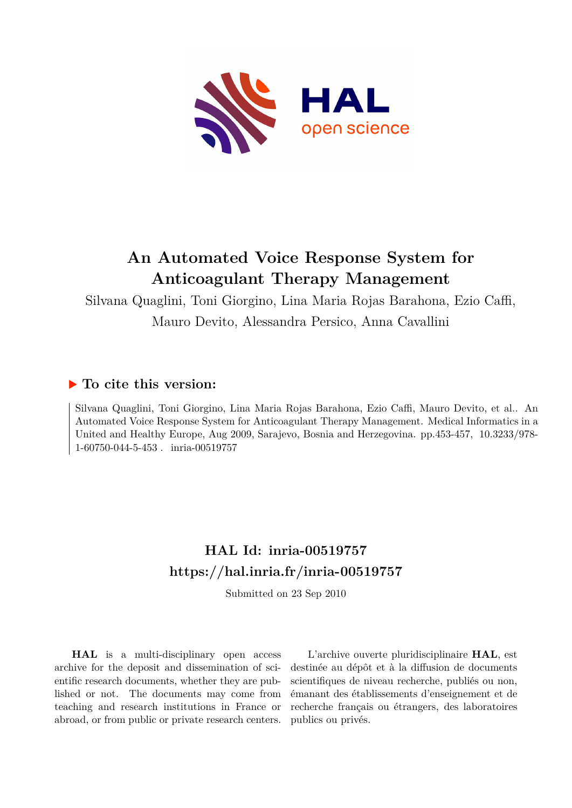

# **An Automated Voice Response System for Anticoagulant Therapy Management**

Silvana Quaglini, Toni Giorgino, Lina Maria Rojas Barahona, Ezio Caffi, Mauro Devito, Alessandra Persico, Anna Cavallini

# **To cite this version:**

Silvana Quaglini, Toni Giorgino, Lina Maria Rojas Barahona, Ezio Caffi, Mauro Devito, et al.. An Automated Voice Response System for Anticoagulant Therapy Management. Medical Informatics in a United and Healthy Europe, Aug 2009, Sarajevo, Bosnia and Herzegovina. pp.453-457, 10.3233/978- $1-60750-044-5-453$ . inria-00519757

# **HAL Id: inria-00519757 <https://hal.inria.fr/inria-00519757>**

Submitted on 23 Sep 2010

**HAL** is a multi-disciplinary open access archive for the deposit and dissemination of scientific research documents, whether they are published or not. The documents may come from teaching and research institutions in France or abroad, or from public or private research centers.

L'archive ouverte pluridisciplinaire **HAL**, est destinée au dépôt et à la diffusion de documents scientifiques de niveau recherche, publiés ou non, émanant des établissements d'enseignement et de recherche français ou étrangers, des laboratoires publics ou privés.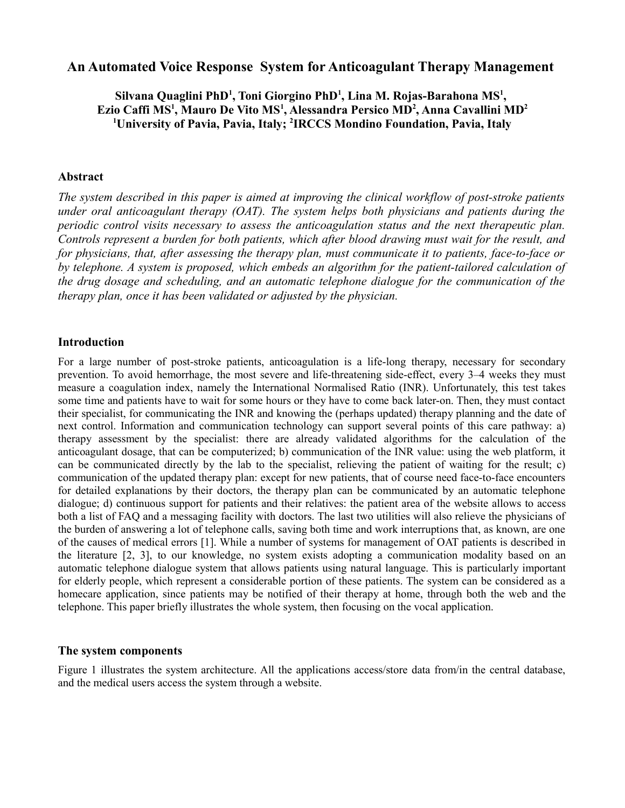# **An Automated Voice Response System for Anticoagulant Therapy Management**

# Silvana Quaglini PhD<sup>1</sup>, Toni Giorgino PhD<sup>1</sup>, Lina M. Rojas-Barahona MS<sup>1</sup>, **Ezio Caffi MS<sup>1</sup> , Mauro De Vito MS<sup>1</sup> , Alessandra Persico MD<sup>2</sup> , Anna Cavallini MD<sup>2</sup> <sup>1</sup>University of Pavia, Pavia, Italy; <sup>2</sup> IRCCS Mondino Foundation, Pavia, Italy**

#### **Abstract**

*The system described in this paper is aimed at improving the clinical workflow of post-stroke patients under oral anticoagulant therapy (OAT). The system helps both physicians and patients during the periodic control visits necessary to assess the anticoagulation status and the next therapeutic plan. Controls represent a burden for both patients, which after blood drawing must wait for the result, and for physicians, that, after assessing the therapy plan, must communicate it to patients, face-to-face or by telephone. A system is proposed, which embeds an algorithm for the patient-tailored calculation of the drug dosage and scheduling, and an automatic telephone dialogue for the communication of the therapy plan, once it has been validated or adjusted by the physician.* 

#### **Introduction**

For a large number of post-stroke patients, anticoagulation is a life-long therapy, necessary for secondary prevention. To avoid hemorrhage, the most severe and life-threatening side-effect, every 3–4 weeks they must measure a coagulation index, namely the International Normalised Ratio (INR). Unfortunately, this test takes some time and patients have to wait for some hours or they have to come back later-on. Then, they must contact their specialist, for communicating the INR and knowing the (perhaps updated) therapy planning and the date of next control. Information and communication technology can support several points of this care pathway: a) therapy assessment by the specialist: there are already validated algorithms for the calculation of the anticoagulant dosage, that can be computerized; b) communication of the INR value: using the web platform, it can be communicated directly by the lab to the specialist, relieving the patient of waiting for the result; c) communication of the updated therapy plan: except for new patients, that of course need face-to-face encounters for detailed explanations by their doctors, the therapy plan can be communicated by an automatic telephone dialogue; d) continuous support for patients and their relatives: the patient area of the website allows to access both a list of FAQ and a messaging facility with doctors. The last two utilities will also relieve the physicians of the burden of answering a lot of telephone calls, saving both time and work interruptions that, as known, are one of the causes of medical errors [1]. While a number of systems for management of OAT patients is described in the literature [2, 3], to our knowledge, no system exists adopting a communication modality based on an automatic telephone dialogue system that allows patients using natural language. This is particularly important for elderly people, which represent a considerable portion of these patients. The system can be considered as a homecare application, since patients may be notified of their therapy at home, through both the web and the telephone. This paper briefly illustrates the whole system, then focusing on the vocal application.

#### **The system components**

Figure 1 illustrates the system architecture. All the applications access/store data from/in the central database, and the medical users access the system through a website.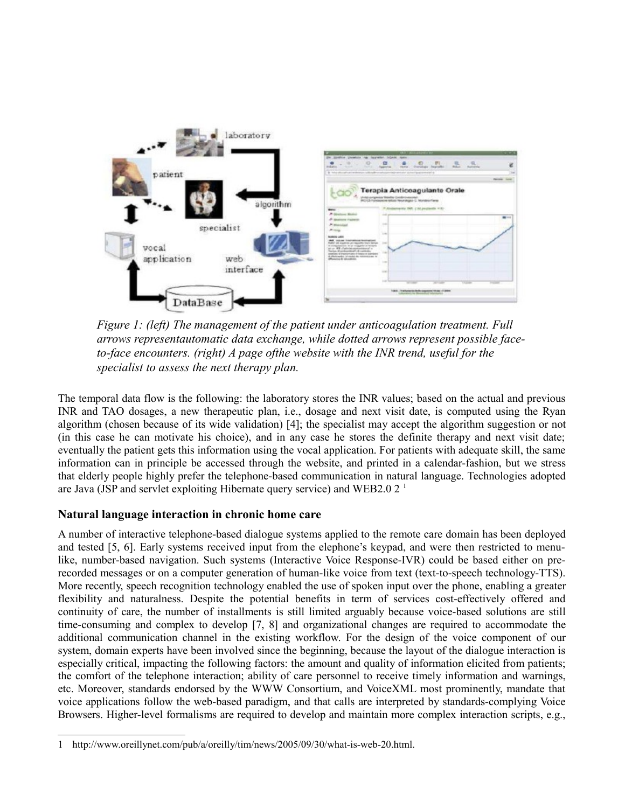

*Figure 1: (left) The management of the patient under anticoagulation treatment. Full arrows representautomatic data exchange, while dotted arrows represent possible faceto-face encounters. (right) A page ofthe website with the INR trend, useful for the specialist to assess the next therapy plan.*

The temporal data flow is the following: the laboratory stores the INR values; based on the actual and previous INR and TAO dosages, a new therapeutic plan, i.e., dosage and next visit date, is computed using the Ryan algorithm (chosen because of its wide validation) [4]; the specialist may accept the algorithm suggestion or not (in this case he can motivate his choice), and in any case he stores the definite therapy and next visit date; eventually the patient gets this information using the vocal application. For patients with adequate skill, the same information can in principle be accessed through the website, and printed in a calendar-fashion, but we stress that elderly people highly prefer the telephone-based communication in natural language. Technologies adopted are Java (JSP and servlet exploiting Hibernate query service) and WEB2.0 2 [1](#page-2-0)

### **Natural language interaction in chronic home care**

A number of interactive telephone-based dialogue systems applied to the remote care domain has been deployed and tested [5, 6]. Early systems received input from the elephone's keypad, and were then restricted to menulike, number-based navigation. Such systems (Interactive Voice Response-IVR) could be based either on prerecorded messages or on a computer generation of human-like voice from text (text-to-speech technology-TTS). More recently, speech recognition technology enabled the use of spoken input over the phone, enabling a greater flexibility and naturalness. Despite the potential benefits in term of services cost-effectively offered and continuity of care, the number of installments is still limited arguably because voice-based solutions are still time-consuming and complex to develop [7, 8] and organizational changes are required to accommodate the additional communication channel in the existing workflow. For the design of the voice component of our system, domain experts have been involved since the beginning, because the layout of the dialogue interaction is especially critical, impacting the following factors: the amount and quality of information elicited from patients; the comfort of the telephone interaction; ability of care personnel to receive timely information and warnings, etc. Moreover, standards endorsed by the WWW Consortium, and VoiceXML most prominently, mandate that voice applications follow the web-based paradigm, and that calls are interpreted by standards-complying Voice Browsers. Higher-level formalisms are required to develop and maintain more complex interaction scripts, e.g.,

<span id="page-2-0"></span><sup>1</sup> http://www.oreillynet.com/pub/a/oreilly/tim/news/2005/09/30/what-is-web-20.html.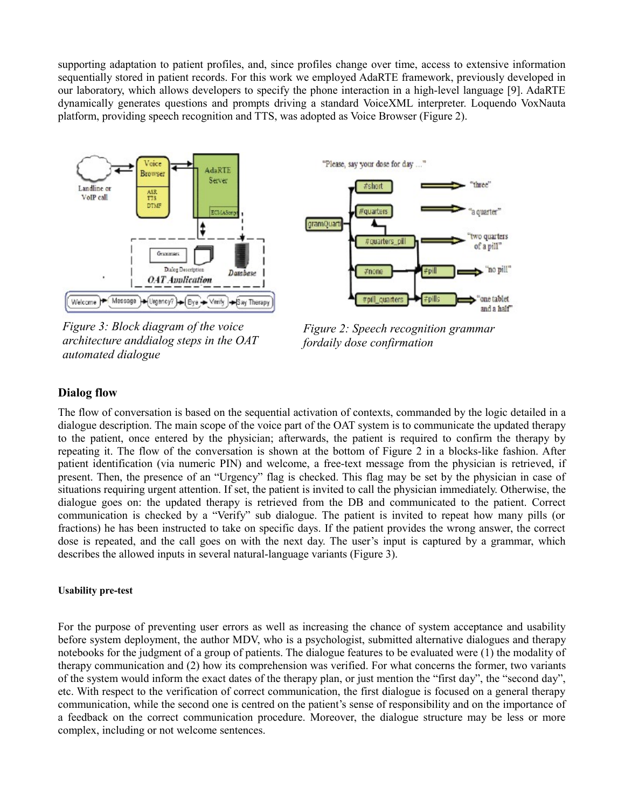supporting adaptation to patient profiles, and, since profiles change over time, access to extensive information sequentially stored in patient records. For this work we employed AdaRTE framework, previously developed in our laboratory, which allows developers to specify the phone interaction in a high-level language [9]. AdaRTE dynamically generates questions and prompts driving a standard VoiceXML interpreter. Loquendo VoxNauta platform, providing speech recognition and TTS, was adopted as Voice Browser (Figure 2).



*Figure 3: Block diagram of the voice architecture anddialog steps in the OAT automated dialogue*



*Figure 2: Speech recognition grammar fordaily dose confirmation*

# **Dialog flow**

The flow of conversation is based on the sequential activation of contexts, commanded by the logic detailed in a dialogue description. The main scope of the voice part of the OAT system is to communicate the updated therapy to the patient, once entered by the physician; afterwards, the patient is required to confirm the therapy by repeating it. The flow of the conversation is shown at the bottom of Figure 2 in a blocks-like fashion. After patient identification (via numeric PIN) and welcome, a free-text message from the physician is retrieved, if present. Then, the presence of an "Urgency" flag is checked. This flag may be set by the physician in case of situations requiring urgent attention. If set, the patient is invited to call the physician immediately. Otherwise, the dialogue goes on: the updated therapy is retrieved from the DB and communicated to the patient. Correct communication is checked by a "Verify" sub dialogue. The patient is invited to repeat how many pills (or fractions) he has been instructed to take on specific days. If the patient provides the wrong answer, the correct dose is repeated, and the call goes on with the next day. The user's input is captured by a grammar, which describes the allowed inputs in several natural-language variants (Figure 3).

#### **Usability pre-test**

For the purpose of preventing user errors as well as increasing the chance of system acceptance and usability before system deployment, the author MDV, who is a psychologist, submitted alternative dialogues and therapy notebooks for the judgment of a group of patients. The dialogue features to be evaluated were (1) the modality of therapy communication and (2) how its comprehension was verified. For what concerns the former, two variants of the system would inform the exact dates of the therapy plan, or just mention the "first day", the "second day", etc. With respect to the verification of correct communication, the first dialogue is focused on a general therapy communication, while the second one is centred on the patient's sense of responsibility and on the importance of a feedback on the correct communication procedure. Moreover, the dialogue structure may be less or more complex, including or not welcome sentences.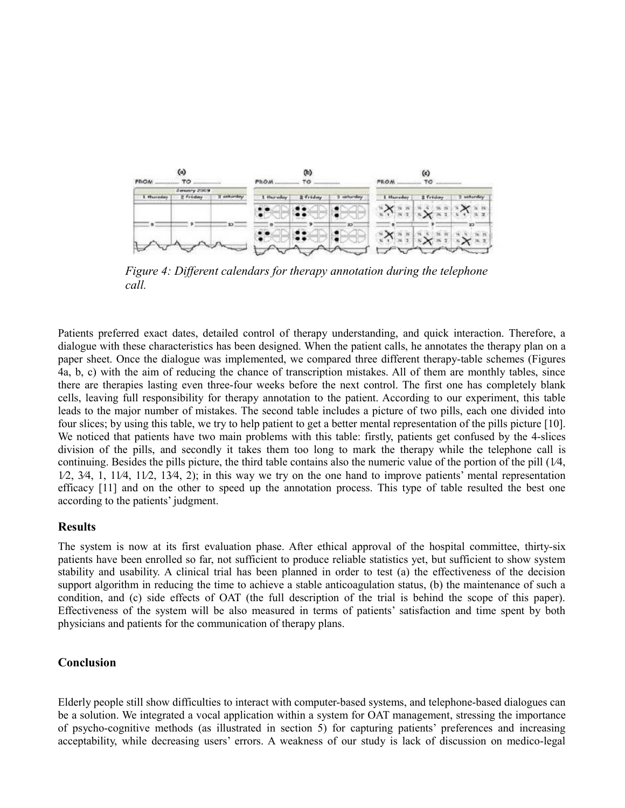| $\omega$<br><b>FROM</b><br>ТÓ |                                 |                 | $\circledcirc$<br><b>PROM</b><br>٢0 |          |              | $\epsilon$<br><b>FROM</b><br>T٥ |          |   |
|-------------------------------|---------------------------------|-----------------|-------------------------------------|----------|--------------|---------------------------------|----------|---|
| 1. Hursday                    | January 2009<br>2 Friday        | sim Business    | 1 Humobay                           | 2 Friday |              | 1 Shureday                      | # Friday |   |
| The company of the Co         | The state of the Company of the |                 |                                     |          |              |                                 |          |   |
| а                             |                                 | 10 <sup>°</sup> | ь                                   |          | $30^{\circ}$ | ٠                               |          | m |

*Figure 4: Different calendars for therapy annotation during the telephone call.*

Patients preferred exact dates, detailed control of therapy understanding, and quick interaction. Therefore, a dialogue with these characteristics has been designed. When the patient calls, he annotates the therapy plan on a paper sheet. Once the dialogue was implemented, we compared three different therapy-table schemes (Figures 4a, b, c) with the aim of reducing the chance of transcription mistakes. All of them are monthly tables, since there are therapies lasting even three-four weeks before the next control. The first one has completely blank cells, leaving full responsibility for therapy annotation to the patient. According to our experiment, this table leads to the major number of mistakes. The second table includes a picture of two pills, each one divided into four slices; by using this table, we try to help patient to get a better mental representation of the pills picture [10]. We noticed that patients have two main problems with this table: firstly, patients get confused by the 4-slices division of the pills, and secondly it takes them too long to mark the therapy while the telephone call is continuing. Besides the pills picture, the third table contains also the numeric value of the portion of the pill  $(1/4, 1/4)$  $1/2$ ,  $3/4$ ,  $1$ ,  $1/4$ ,  $11/2$ ,  $13/4$ ,  $2$ ); in this way we try on the one hand to improve patients' mental representation efficacy [11] and on the other to speed up the annotation process. This type of table resulted the best one according to the patients' judgment.

#### **Results**

The system is now at its first evaluation phase. After ethical approval of the hospital committee, thirty-six patients have been enrolled so far, not sufficient to produce reliable statistics yet, but sufficient to show system stability and usability. A clinical trial has been planned in order to test (a) the effectiveness of the decision support algorithm in reducing the time to achieve a stable anticoagulation status, (b) the maintenance of such a condition, and (c) side effects of OAT (the full description of the trial is behind the scope of this paper). Effectiveness of the system will be also measured in terms of patients' satisfaction and time spent by both physicians and patients for the communication of therapy plans.

#### **Conclusion**

Elderly people still show difficulties to interact with computer-based systems, and telephone-based dialogues can be a solution. We integrated a vocal application within a system for OAT management, stressing the importance of psycho-cognitive methods (as illustrated in section 5) for capturing patients' preferences and increasing acceptability, while decreasing users' errors. A weakness of our study is lack of discussion on medico-legal